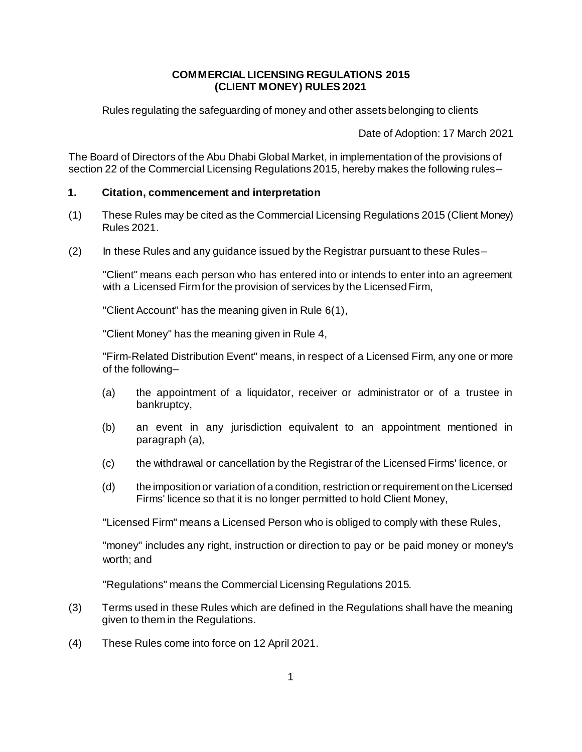#### **COMMERCIAL LICENSING REGULATIONS 2015 (CLIENT MONEY) RULES 2021**

Rules regulating the safeguarding of money and other assets belonging to clients

Date of Adoption: 17 March 2021

The Board of Directors of the Abu Dhabi Global Market, in implementation of the provisions of section 22 of the Commercial Licensing Regulations 2015, hereby makes the following rules–

#### **1. Citation, commencement and interpretation**

- (1) These Rules may be cited as the Commercial Licensing Regulations 2015 (Client Money) Rules 2021.
- (2) In these Rules and any guidance issued by the Registrar pursuant to these Rules–

"Client" means each person who has entered into or intends to enter into an agreement with a Licensed Firm for the provision of services by the Licensed Firm,

"Client Account" has the meaning given in Rule [6\(1\),](#page-2-0)

"Client Money" has the meaning given in Rule [4,](#page-1-0)

"Firm-Related Distribution Event" means, in respect of a Licensed Firm, any one or more of the following–

- (a) the appointment of a liquidator, receiver or administrator or of a trustee in bankruptcy,
- (b) an event in any jurisdiction equivalent to an appointment mentioned in paragraph (a),
- (c) the withdrawal or cancellation by the Registrar of the Licensed Firms' licence, or
- (d) the imposition or variation of a condition, restriction or requirement on the Licensed Firms' licence so that it is no longer permitted to hold Client Money,

"Licensed Firm" means a Licensed Person who is obliged to comply with these Rules,

"money" includes any right, instruction or direction to pay or be paid money or money's worth; and

"Regulations" means the Commercial Licensing Regulations 2015.

- (3) Terms used in these Rules which are defined in the Regulations shall have the meaning given to them in the Regulations.
- (4) These Rules come into force on 12 April 2021.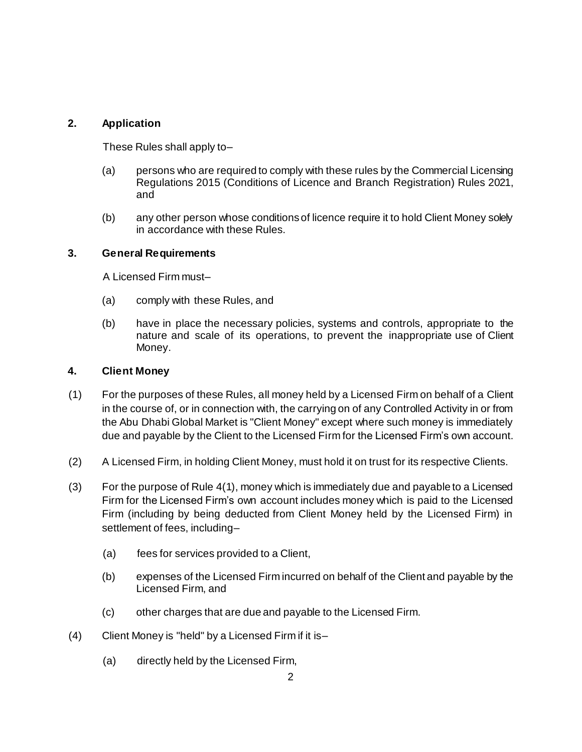## **2. Application**

These Rules shall apply to–

- (a) persons who are required to comply with these rules by the Commercial Licensing Regulations 2015 (Conditions of Licence and Branch Registration) Rules 2021, and
- (b) any other person whose conditions of licence require it to hold Client Money solely in accordance with these Rules.

### **3. General Requirements**

A Licensed Firm must–

- (a) comply with these Rules, and
- (b) have in place the necessary policies, systems and controls, appropriate to the nature and scale of its operations, to prevent the inappropriate use of Client Money.

### <span id="page-1-0"></span>**4. Client Money**

- (1) For the purposes of these Rules, all money held by a Licensed Firm on behalf of a Client in the course of, or in connection with, the carrying on of any Controlled Activity in or from the Abu Dhabi Global Market is "Client Money" except where such money is immediately due and payable by the Client to the Licensed Firm for the Licensed Firm's own account.
- (2) A Licensed Firm, in holding Client Money, must hold it on trust for its respective Clients.
- (3) For the purpose of Rule 4(1), money which is immediately due and payable to a Licensed Firm for the Licensed Firm's own account includes money which is paid to the Licensed Firm (including by being deducted from Client Money held by the Licensed Firm) in settlement of fees, including–
	- (a) fees for services provided to a Client,
	- (b) expenses of the Licensed Firm incurred on behalf of the Client and payable by the Licensed Firm, and
	- (c) other charges that are due and payable to the Licensed Firm.
- (4) Client Money is "held" by a Licensed Firm if it is–
	- (a) directly held by the Licensed Firm,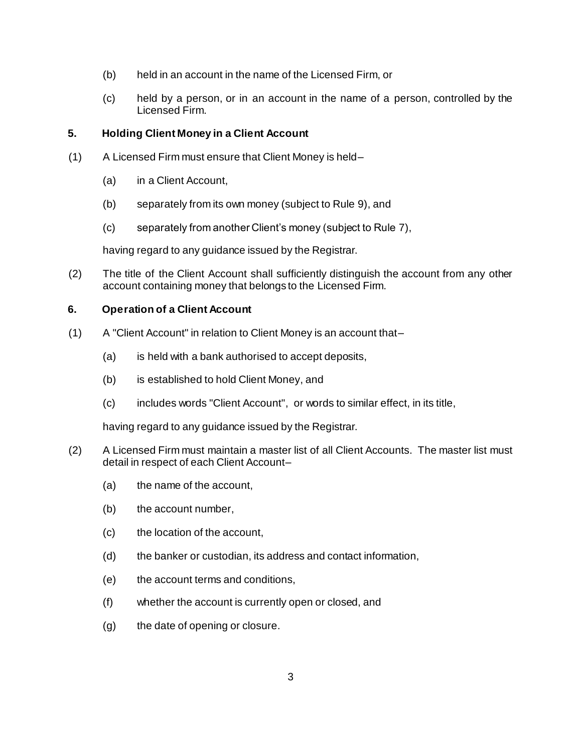- (b) held in an account in the name of the Licensed Firm, or
- (c) held by a person, or in an account in the name of a person, controlled by the Licensed Firm.

## **5. Holding Client Money in a Client Account**

- (1) A Licensed Firm must ensure that Client Money is held–
	- (a) in a Client Account,
	- (b) separately from its own money (subject to Rule 9), and
	- (c) separately from another Client's money (subject to Rule 7),

having regard to any guidance issued by the Registrar.

(2) The title of the Client Account shall sufficiently distinguish the account from any other account containing money that belongs to the Licensed Firm.

### **6. Operation of a Client Account**

- <span id="page-2-0"></span>(1) A "Client Account" in relation to Client Money is an account that–
	- (a) is held with a bank authorised to accept deposits,
	- (b) is established to hold Client Money, and
	- (c) includes words "Client Account", or words to similar effect, in its title,

having regard to any guidance issued by the Registrar.

- (2) A Licensed Firm must maintain a master list of all Client Accounts. The master list must detail in respect of each Client Account–
	- (a) the name of the account,
	- (b) the account number,
	- (c) the location of the account,
	- (d) the banker or custodian, its address and contact information,
	- (e) the account terms and conditions,
	- (f) whether the account is currently open or closed, and
	- (g) the date of opening or closure.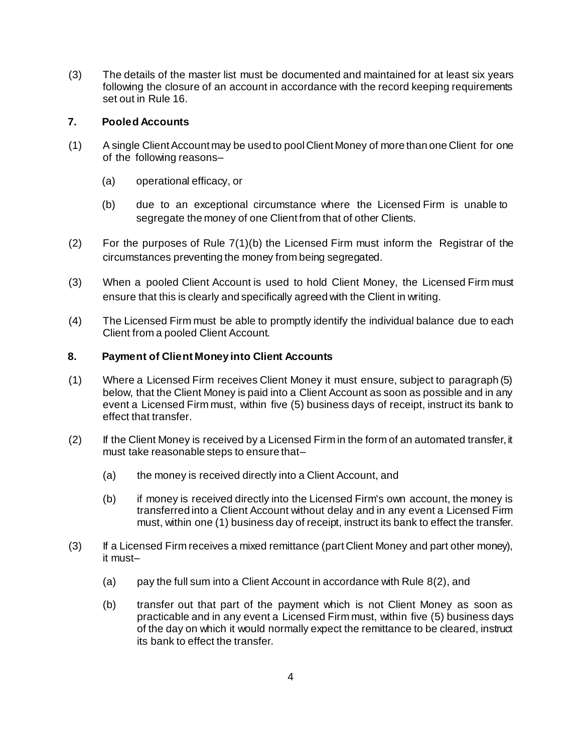(3) The details of the master list must be documented and maintained for at least six years following the closure of an account in accordance with the record keeping requirements set out in Rule [16.](#page-7-0)

### **7. Pooled Accounts**

- <span id="page-3-0"></span>(1) A single Client Account may be used to pool Client Money of more than one Client for one of the following reasons–
	- (a) operational efficacy, or
	- (b) due to an exceptional circumstance where the Licensed Firm is unable to segregate the money of one Client from that of other Clients.
- (2) For the purposes of Rule [7\(1\)\(b\)](#page-3-0) the Licensed Firm must inform the Registrar of the circumstances preventing the money from being segregated.
- (3) When a pooled Client Account is used to hold Client Money, the Licensed Firm must ensure that this is clearly and specifically agreed with the Client in writing.
- (4) The Licensed Firm must be able to promptly identify the individual balance due to each Client from a pooled Client Account.

## **8. Payment of Client Money into Client Accounts**

- (1) Where a Licensed Firm receives Client Money it must ensure, subject to paragraph (5) below, that the Client Money is paid into a Client Account as soon as possible and in any event a Licensed Firm must, within five (5) business days of receipt, instruct its bank to effect that transfer.
- (2) If the Client Money is received by a Licensed Firm in the form of an automated transfer, it must take reasonable steps to ensure that–
	- (a) the money is received directly into a Client Account, and
	- (b) if money is received directly into the Licensed Firm's own account, the money is transferred into a Client Account without delay and in any event a Licensed Firm must, within one (1) business day of receipt, instruct its bank to effect the transfer.
- <span id="page-3-1"></span>(3) If a Licensed Firm receives a mixed remittance (part Client Money and part other money), it must–
	- (a) pay the full sum into a Client Account in accordance with Rule 8(2), and
	- (b) transfer out that part of the payment which is not Client Money as soon as practicable and in any event a Licensed Firm must, within five (5) business days of the day on which it would normally expect the remittance to be cleared, instruct its bank to effect the transfer.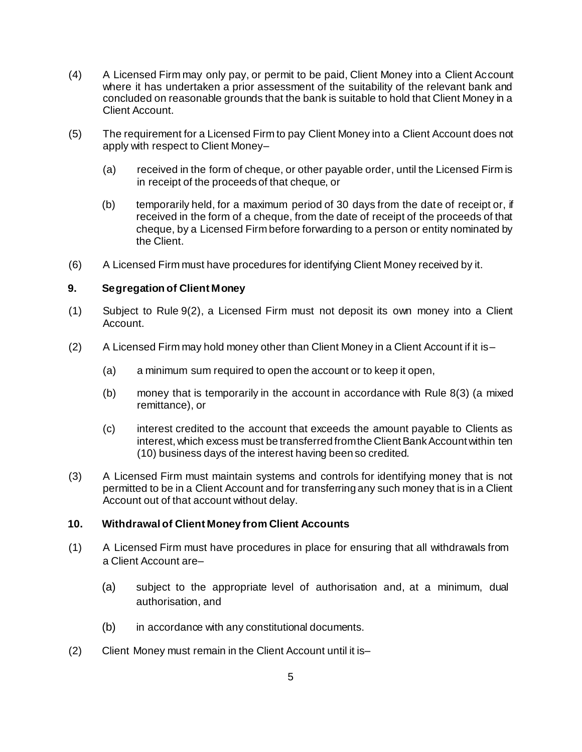- (4) A Licensed Firm may only pay, or permit to be paid, Client Money into a Client Account where it has undertaken a prior assessment of the suitability of the relevant bank and concluded on reasonable grounds that the bank is suitable to hold that Client Money in a Client Account.
- (5) The requirement for a Licensed Firm to pay Client Money into a Client Account does not apply with respect to Client Money–
	- (a) received in the form of cheque, or other payable order, until the Licensed Firm is in receipt of the proceeds of that cheque, or
	- (b) temporarily held, for a maximum period of 30 days from the date of receipt or, if received in the form of a cheque, from the date of receipt of the proceeds of that cheque, by a Licensed Firm before forwarding to a person or entity nominated by the Client.
- (6) A Licensed Firm must have procedures for identifying Client Money received by it.

#### **9. Segregation of Client Money**

- (1) Subject to Rule [9\(2\),](#page-4-0) a Licensed Firm must not deposit its own money into a Client Account.
- <span id="page-4-0"></span> $(2)$  A Licensed Firm may hold money other than Client Money in a Client Account if it is-
	- (a) a minimum sum required to open the account or to keep it open,
	- (b) money that is temporarily in the account in accordance with Rule [8\(3\)](#page-3-1) (a mixed remittance), or
	- (c) interest credited to the account that exceeds the amount payable to Clients as interest, which excess must be transferred from the Client Bank Account within ten (10) business days of the interest having been so credited.
- (3) A Licensed Firm must maintain systems and controls for identifying money that is not permitted to be in a Client Account and for transferring any such money that is in a Client Account out of that account without delay.

### **10. Withdrawal of Client Money from Client Accounts**

- (1) A Licensed Firm must have procedures in place for ensuring that all withdrawals from a Client Account are–
	- (a) subject to the appropriate level of authorisation and, at a minimum, dual authorisation, and
	- (b) in accordance with any constitutional documents.
- (2) Client Money must remain in the Client Account until it is–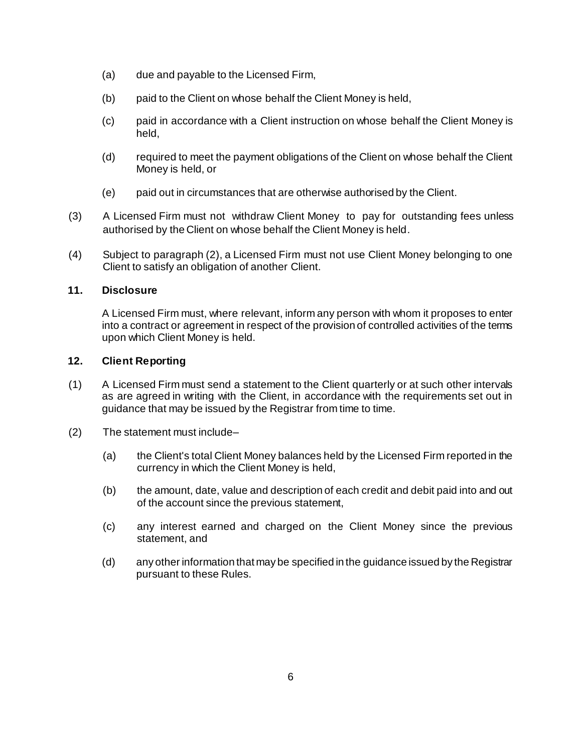- (a) due and payable to the Licensed Firm,
- (b) paid to the Client on whose behalf the Client Money is held,
- (c) paid in accordance with a Client instruction on whose behalf the Client Money is held,
- (d) required to meet the payment obligations of the Client on whose behalf the Client Money is held, or
- (e) paid out in circumstances that are otherwise authorised by the Client.
- (3) A Licensed Firm must not withdraw Client Money to pay for outstanding fees unless authorised by the Client on whose behalf the Client Money is held.
- (4) Subject to paragraph (2), a Licensed Firm must not use Client Money belonging to one Client to satisfy an obligation of another Client.

### **11. Disclosure**

A Licensed Firm must, where relevant, inform any person with whom it proposes to enter into a contract or agreement in respect of the provision of controlled activities of the terms upon which Client Money is held.

## **12. Client Reporting**

- (1) A Licensed Firm must send a statement to the Client quarterly or at such other intervals as are agreed in writing with the Client, in accordance with the requirements set out in guidance that may be issued by the Registrar from time to time.
- (2) The statement must include–
	- (a) the Client's total Client Money balances held by the Licensed Firm reported in the currency in which the Client Money is held,
	- (b) the amount, date, value and description of each credit and debit paid into and out of the account since the previous statement,
	- (c) any interest earned and charged on the Client Money since the previous statement, and
	- (d) any other information that may be specified in the guidance issued by the Registrar pursuant to these Rules.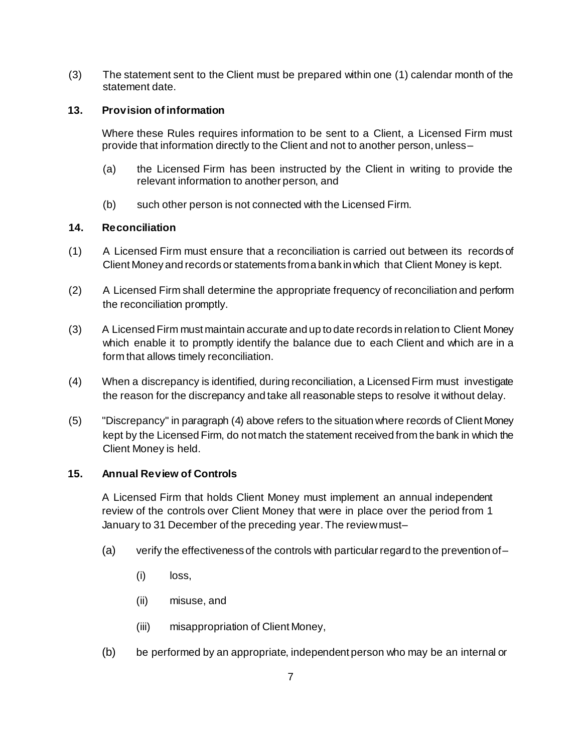(3) The statement sent to the Client must be prepared within one (1) calendar month of the statement date.

### **13. Provision of information**

Where these Rules requires information to be sent to a Client, a Licensed Firm must provide that information directly to the Client and not to another person, unless–

- (a) the Licensed Firm has been instructed by the Client in writing to provide the relevant information to another person, and
- (b) such other person is not connected with the Licensed Firm.

## **14. Reconciliation**

- (1) A Licensed Firm must ensure that a reconciliation is carried out between its records of Client Money and records or statements froma bank in which that Client Money is kept.
- (2) A Licensed Firm shall determine the appropriate frequency of reconciliation and perform the reconciliation promptly.
- (3) A Licensed Firm must maintain accurate and up to date records in relation to Client Money which enable it to promptly identify the balance due to each Client and which are in a form that allows timely reconciliation.
- (4) When a discrepancy is identified, during reconciliation, a Licensed Firm must investigate the reason for the discrepancy and take all reasonable steps to resolve it without delay.
- (5) "Discrepancy" in paragraph (4) above refers to the situation where records of Client Money kept by the Licensed Firm, do not match the statement received from the bank in which the Client Money is held.

# **15. Annual Review of Controls**

A Licensed Firm that holds Client Money must implement an annual independent review of the controls over Client Money that were in place over the period from 1 January to 31 December of the preceding year. The review must–

- (a) verify the effectiveness of the controls with particular regard to the prevention of–
	- (i) loss,
	- (ii) misuse, and
	- (iii) misappropriation of Client Money,
- (b) be performed by an appropriate, independent person who may be an internal or